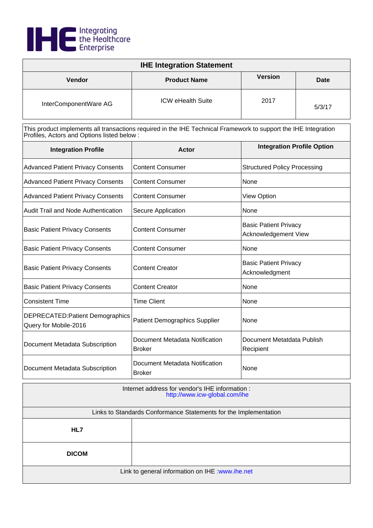

| <b>IHE Integration Statement</b> |                          |                |        |
|----------------------------------|--------------------------|----------------|--------|
| Vendor                           | <b>Product Name</b>      | <b>Version</b> | Date   |
| InterComponentWare AG            | <b>ICW eHealth Suite</b> | 2017           | 5/3/17 |

| <b>Integration Profile</b>                                       | Actor                                           | <b>Integration Profile Option</b>                    |
|------------------------------------------------------------------|-------------------------------------------------|------------------------------------------------------|
| <b>Advanced Patient Privacy Consents</b>                         | <b>Content Consumer</b>                         | <b>Structured Policy Processing</b>                  |
| <b>Advanced Patient Privacy Consents</b>                         | <b>Content Consumer</b>                         | None                                                 |
| <b>Advanced Patient Privacy Consents</b>                         | <b>Content Consumer</b>                         | <b>View Option</b>                                   |
| Audit Trail and Node Authentication                              | Secure Application                              | None                                                 |
| <b>Basic Patient Privacy Consents</b>                            | <b>Content Consumer</b>                         | <b>Basic Patient Privacy</b><br>Acknowledgement View |
| <b>Basic Patient Privacy Consents</b>                            | <b>Content Consumer</b>                         | None                                                 |
| <b>Basic Patient Privacy Consents</b>                            | <b>Content Creator</b>                          | <b>Basic Patient Privacy</b><br>Acknowledgment       |
| <b>Basic Patient Privacy Consents</b>                            | <b>Content Creator</b>                          | None                                                 |
| <b>Consistent Time</b>                                           | Time Client                                     | None                                                 |
| <b>DEPRECATED: Patient Demographics</b><br>Query for Mobile-2016 | <b>Patient Demographics Supplier</b>            | None                                                 |
| Document Metadata Subscription                                   | Document Metadata Notification<br><b>Broker</b> | Document Metatdata Publish<br>Recipient              |
| Document Metadata Subscription                                   | Document Metadata Notification<br><b>Broker</b> | None                                                 |

| Internet address for vendor's IHE information :<br>http://www.icw-global.com/ihe |  |
|----------------------------------------------------------------------------------|--|
| Links to Standards Conformance Statements for the Implementation                 |  |
| HL7                                                                              |  |
| <b>DICOM</b>                                                                     |  |
| Link to general information on IHE : www.ihe.net                                 |  |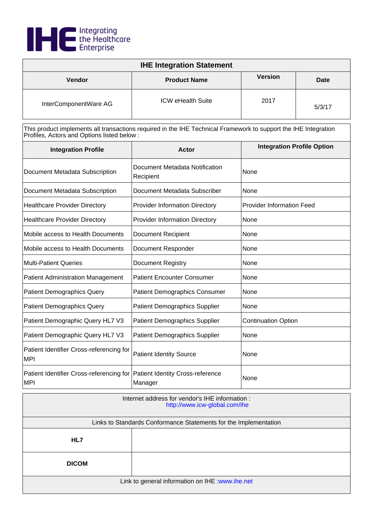

| <b>IHE Integration Statement</b> |                          |                |        |
|----------------------------------|--------------------------|----------------|--------|
| <b>Vendor</b>                    | <b>Product Name</b>      | <b>Version</b> | Date   |
| InterComponentWare AG            | <b>ICW eHealth Suite</b> | 2017           | 5/3/17 |

| <b>Integration Profile</b>                             | Actor                                              | <b>Integration Profile Option</b> |
|--------------------------------------------------------|----------------------------------------------------|-----------------------------------|
| Document Metadata Subscription                         | Document Metadata Notification<br>Recipient        | None                              |
| Document Metadata Subscription                         | Document Metadata Subscriber                       | None                              |
| <b>Healthcare Provider Directory</b>                   | <b>Provider Information Directory</b>              | <b>Provider Information Feed</b>  |
| <b>Healthcare Provider Directory</b>                   | <b>Provider Information Directory</b>              | None                              |
| Mobile access to Health Documents                      | <b>Document Recipient</b>                          | None                              |
| Mobile access to Health Documents                      | Document Responder                                 | None                              |
| <b>Multi-Patient Queries</b>                           | <b>Document Registry</b>                           | None                              |
| <b>Patient Administration Management</b>               | <b>Patient Encounter Consumer</b>                  | None                              |
| <b>Patient Demographics Query</b>                      | <b>Patient Demographics Consumer</b>               | None                              |
| <b>Patient Demographics Query</b>                      | <b>Patient Demographics Supplier</b>               | None                              |
| Patient Demographic Query HL7 V3                       | <b>Patient Demographics Supplier</b>               | <b>Continuation Option</b>        |
| Patient Demographic Query HL7 V3                       | <b>Patient Demographics Supplier</b>               | None                              |
| Patient Identifier Cross-referencing for<br><b>MPI</b> | <b>Patient Identity Source</b>                     | None                              |
| Patient Identifier Cross-referencing for<br><b>MPI</b> | <b>Patient Identity Cross-reference</b><br>Manager | None                              |

| Internet address for vendor's IHE information :<br>http://www.icw-global.com/ihe |  |
|----------------------------------------------------------------------------------|--|
| Links to Standards Conformance Statements for the Implementation                 |  |
| HL7                                                                              |  |
| <b>DICOM</b>                                                                     |  |
| Link to general information on IHE : www.ihe.net                                 |  |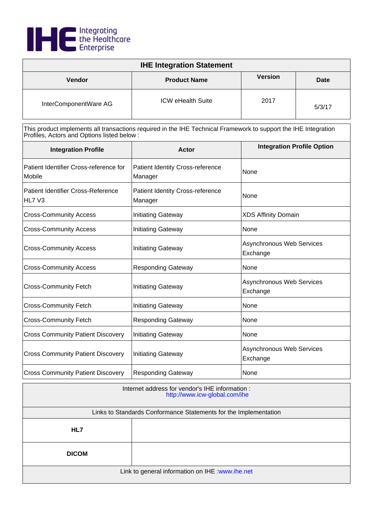

| <b>IHE Integration Statement</b> |                          |                |        |
|----------------------------------|--------------------------|----------------|--------|
| Vendor                           | <b>Product Name</b>      | <b>Version</b> | Date   |
| InterComponentWare AG            | <b>ICW eHealth Suite</b> | 2017           | 5/3/17 |

| <b>Integration Profile</b>                          | <b>Actor</b>                                       | <b>Integration Profile Option</b>     |
|-----------------------------------------------------|----------------------------------------------------|---------------------------------------|
| Patient Identifier Cross-reference for<br>Mobile    | <b>Patient Identity Cross-reference</b><br>Manager | None                                  |
| <b>Patient Identifier Cross-Reference</b><br>HL7 V3 | Patient Identity Cross-reference<br>Manager        | None                                  |
| <b>Cross-Community Access</b>                       | <b>Initiating Gateway</b>                          | <b>XDS Affinity Domain</b>            |
| <b>Cross-Community Access</b>                       | <b>Initiating Gateway</b>                          | None                                  |
| <b>Cross-Community Access</b>                       | <b>Initiating Gateway</b>                          | Asynchronous Web Services<br>Exchange |
| <b>Cross-Community Access</b>                       | <b>Responding Gateway</b>                          | None                                  |
| <b>Cross-Community Fetch</b>                        | <b>Initiating Gateway</b>                          | Asynchronous Web Services<br>Exchange |
| <b>Cross-Community Fetch</b>                        | <b>Initiating Gateway</b>                          | None                                  |
| <b>Cross-Community Fetch</b>                        | <b>Responding Gateway</b>                          | None                                  |
| <b>Cross Community Patient Discovery</b>            | <b>Initiating Gateway</b>                          | None                                  |
| <b>Cross Community Patient Discovery</b>            | <b>Initiating Gateway</b>                          | Asynchronous Web Services<br>Exchange |
| <b>Cross Community Patient Discovery</b>            | <b>Responding Gateway</b>                          | None                                  |

| Internet address for vendor's IHE information :<br>http://www.icw-global.com/ihe |  |
|----------------------------------------------------------------------------------|--|
| Links to Standards Conformance Statements for the Implementation                 |  |
| HL7                                                                              |  |
| <b>DICOM</b>                                                                     |  |
| Link to general information on IHE : www.ihe.net                                 |  |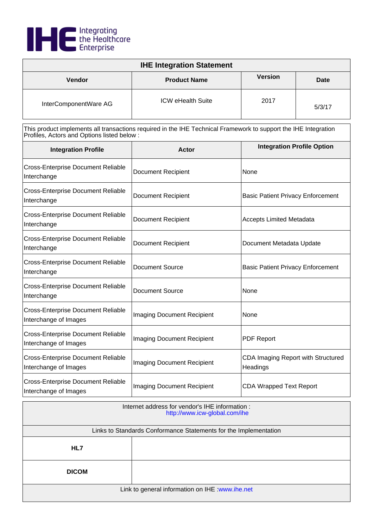

| <b>IHE Integration Statement</b> |                          |                |        |
|----------------------------------|--------------------------|----------------|--------|
| <b>Vendor</b>                    | <b>Product Name</b>      | <b>Version</b> | Date   |
| InterComponentWare AG            | <b>ICW eHealth Suite</b> | 2017           | 5/3/17 |

| <b>Integration Profile</b>                                         | Actor                             | <b>Integration Profile Option</b>              |
|--------------------------------------------------------------------|-----------------------------------|------------------------------------------------|
| <b>Cross-Enterprise Document Reliable</b><br>Interchange           | <b>Document Recipient</b>         | None                                           |
| <b>Cross-Enterprise Document Reliable</b><br>Interchange           | <b>Document Recipient</b>         | <b>Basic Patient Privacy Enforcement</b>       |
| <b>Cross-Enterprise Document Reliable</b><br>Interchange           | <b>Document Recipient</b>         | <b>Accepts Limited Metadata</b>                |
| <b>Cross-Enterprise Document Reliable</b><br>Interchange           | <b>Document Recipient</b>         | Document Metadata Update                       |
| <b>Cross-Enterprise Document Reliable</b><br>Interchange           | <b>Document Source</b>            | <b>Basic Patient Privacy Enforcement</b>       |
| <b>Cross-Enterprise Document Reliable</b><br>Interchange           | <b>Document Source</b>            | None                                           |
| <b>Cross-Enterprise Document Reliable</b><br>Interchange of Images | Imaging Document Recipient        | None                                           |
| <b>Cross-Enterprise Document Reliable</b><br>Interchange of Images | <b>Imaging Document Recipient</b> | <b>PDF Report</b>                              |
| <b>Cross-Enterprise Document Reliable</b><br>Interchange of Images | <b>Imaging Document Recipient</b> | CDA Imaging Report with Structured<br>Headings |
| <b>Cross-Enterprise Document Reliable</b><br>Interchange of Images | <b>Imaging Document Recipient</b> | <b>CDA Wrapped Text Report</b>                 |

| Internet address for vendor's IHE information :<br>http://www.icw-global.com/ihe |  |
|----------------------------------------------------------------------------------|--|
| Links to Standards Conformance Statements for the Implementation                 |  |
| HL7                                                                              |  |
| <b>DICOM</b>                                                                     |  |
| Link to general information on IHE : www.ihe.net                                 |  |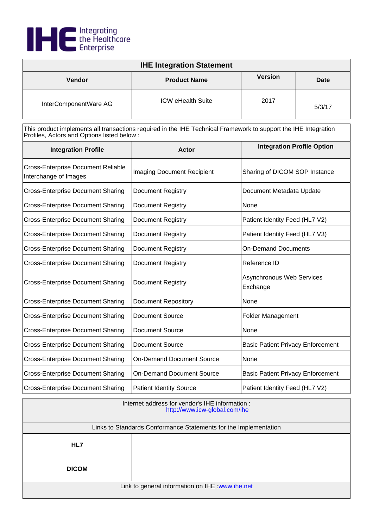

| <b>IHE Integration Statement</b> |                          |                |        |
|----------------------------------|--------------------------|----------------|--------|
| <b>Vendor</b>                    | <b>Product Name</b>      | <b>Version</b> | Date   |
| InterComponentWare AG            | <b>ICW eHealth Suite</b> | 2017           | 5/3/17 |

| <b>Integration Profile</b>                                         | Actor                             | <b>Integration Profile Option</b>        |  |
|--------------------------------------------------------------------|-----------------------------------|------------------------------------------|--|
| <b>Cross-Enterprise Document Reliable</b><br>Interchange of Images | <b>Imaging Document Recipient</b> | Sharing of DICOM SOP Instance            |  |
| <b>Cross-Enterprise Document Sharing</b>                           | <b>Document Registry</b>          | Document Metadata Update                 |  |
| <b>Cross-Enterprise Document Sharing</b>                           | <b>Document Registry</b>          | None                                     |  |
| <b>Cross-Enterprise Document Sharing</b>                           | <b>Document Registry</b>          | Patient Identity Feed (HL7 V2)           |  |
| <b>Cross-Enterprise Document Sharing</b>                           | <b>Document Registry</b>          | Patient Identity Feed (HL7 V3)           |  |
| <b>Cross-Enterprise Document Sharing</b>                           | <b>Document Registry</b>          | <b>On-Demand Documents</b>               |  |
| <b>Cross-Enterprise Document Sharing</b>                           | Document Registry                 | Reference ID                             |  |
| <b>Cross-Enterprise Document Sharing</b>                           | <b>Document Registry</b>          | Asynchronous Web Services<br>Exchange    |  |
| <b>Cross-Enterprise Document Sharing</b>                           | <b>Document Repository</b>        | None                                     |  |
| <b>Cross-Enterprise Document Sharing</b>                           | <b>Document Source</b>            | <b>Folder Management</b>                 |  |
| <b>Cross-Enterprise Document Sharing</b>                           | <b>Document Source</b>            | None                                     |  |
| <b>Cross-Enterprise Document Sharing</b>                           | <b>Document Source</b>            | <b>Basic Patient Privacy Enforcement</b> |  |
| <b>Cross-Enterprise Document Sharing</b>                           | <b>On-Demand Document Source</b>  | None                                     |  |
| <b>Cross-Enterprise Document Sharing</b>                           | <b>On-Demand Document Source</b>  | <b>Basic Patient Privacy Enforcement</b> |  |
| <b>Cross-Enterprise Document Sharing</b>                           | <b>Patient Identity Source</b>    | Patient Identity Feed (HL7 V2)           |  |

| Internet address for vendor's IHE information :<br>http://www.icw-global.com/ihe |  |  |
|----------------------------------------------------------------------------------|--|--|
| Links to Standards Conformance Statements for the Implementation                 |  |  |
| HL7                                                                              |  |  |
| <b>DICOM</b>                                                                     |  |  |
| Link to general information on IHE : www.ihe.net                                 |  |  |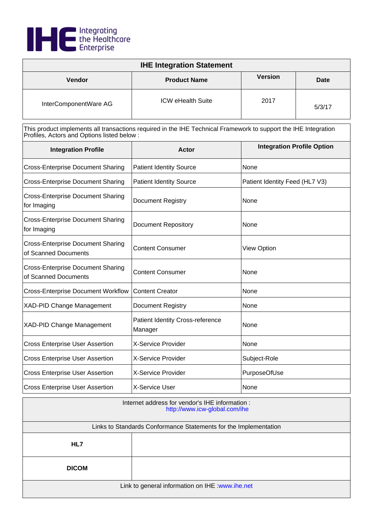

| <b>IHE Integration Statement</b> |                          |                |        |
|----------------------------------|--------------------------|----------------|--------|
| <b>Vendor</b>                    | <b>Product Name</b>      | <b>Version</b> | Date   |
| InterComponentWare AG            | <b>ICW eHealth Suite</b> | 2017           | 5/3/17 |

| <b>Integration Profile</b>                                       | <b>Actor</b>                                       | <b>Integration Profile Option</b> |  |
|------------------------------------------------------------------|----------------------------------------------------|-----------------------------------|--|
| <b>Cross-Enterprise Document Sharing</b>                         | <b>Patient Identity Source</b>                     | None                              |  |
| <b>Cross-Enterprise Document Sharing</b>                         | <b>Patient Identity Source</b>                     | Patient Identity Feed (HL7 V3)    |  |
| <b>Cross-Enterprise Document Sharing</b><br>for Imaging          | Document Registry                                  | None                              |  |
| <b>Cross-Enterprise Document Sharing</b><br>for Imaging          | <b>Document Repository</b>                         | None                              |  |
| <b>Cross-Enterprise Document Sharing</b><br>of Scanned Documents | <b>Content Consumer</b>                            | <b>View Option</b>                |  |
| <b>Cross-Enterprise Document Sharing</b><br>of Scanned Documents | <b>Content Consumer</b>                            | None                              |  |
| <b>Cross-Enterprise Document Workflow</b>                        | <b>Content Creator</b>                             | None                              |  |
| <b>XAD-PID Change Management</b>                                 | <b>Document Registry</b>                           | None                              |  |
| <b>XAD-PID Change Management</b>                                 | <b>Patient Identity Cross-reference</b><br>Manager | None                              |  |
| <b>Cross Enterprise User Assertion</b>                           | X-Service Provider                                 | None                              |  |
| <b>Cross Enterprise User Assertion</b>                           | X-Service Provider                                 | Subject-Role                      |  |
| <b>Cross Enterprise User Assertion</b>                           | X-Service Provider                                 | PurposeOfUse                      |  |
| <b>Cross Enterprise User Assertion</b>                           | X-Service User                                     | None                              |  |

| Internet address for vendor's IHE information :<br>http://www.icw-global.com/ihe |  |  |
|----------------------------------------------------------------------------------|--|--|
| Links to Standards Conformance Statements for the Implementation                 |  |  |
| HL7                                                                              |  |  |
| <b>DICOM</b>                                                                     |  |  |
| Link to general information on IHE : www.ihe.net                                 |  |  |